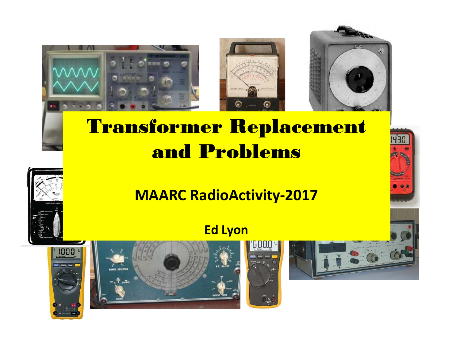

# Transformer Replacement and Problems

## **MAARC RadioActivity ‐2017**

## **Ed Lyon**





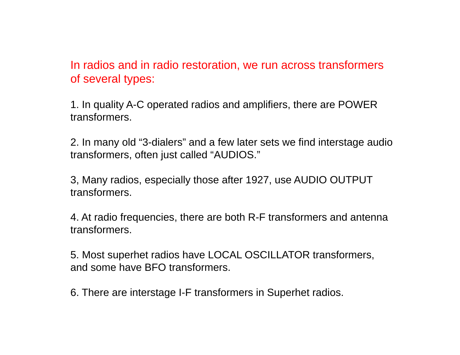In radios and in radio restoration, we run across transformers of several types:

1. In quality A-C operated radios and amplifiers, there are POWER transformers.

2. In many old "3-dialers" and a few later sets we find interstage audio transformers, often just called "AUDIOS."

3, Many radios, especially those after 1927, use AUDIO OUTPUT transformers.

4. At radio frequencies, there are both R-F transformers and antenna transformers.

5. Most superhet radios have LOCAL OSCILLATOR transformers, and some have BFO transformers.

6. There are interstage I-F transformers in Superhet radios.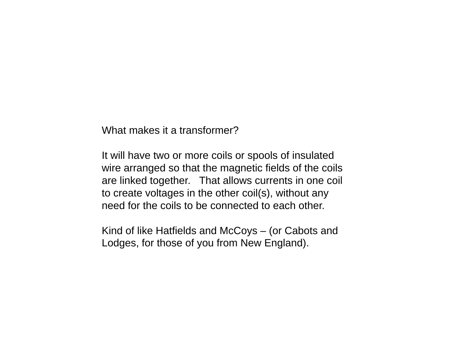What makes it a transformer?

It will have two or more coils or spools of insulated wire arranged so that the magnetic fields of the coils are linked together. That allows currents in one coil to create voltages in the other coil(s), without any need for the coils to be connected to each other.

Kind of like Hatfields and McCoys – (or Cabots and Lodges, for those of you from New England).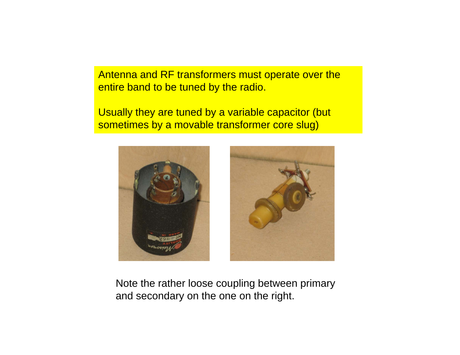Antenna and RF transformers must operate over the entire band to be tuned by the radio.

Usually they are tuned by a variable capacitor (but sometimes by a movable transformer core slug)



Note the rather loose coupling between primary and secondary on the one on the right.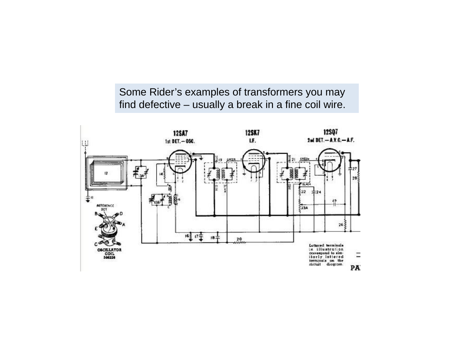Some Rider's examples of transformers you may find defective – usuall y a break in a fine coil wire.

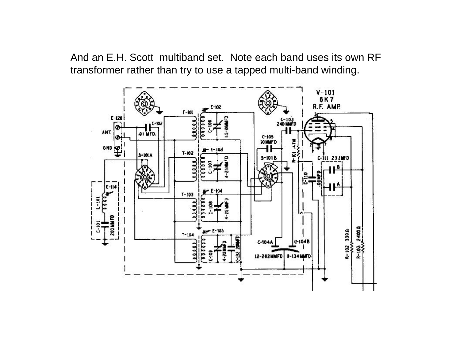And an E.H. Scott multiband set. Note each band uses its own RF transformer rather than try to use a tapped multi-band winding.

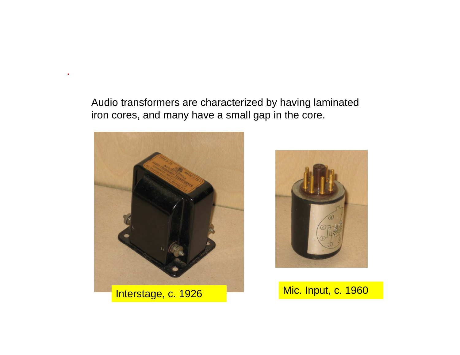Audio transformers are characterized by having laminated iron cores, and many have a small gap in the core.



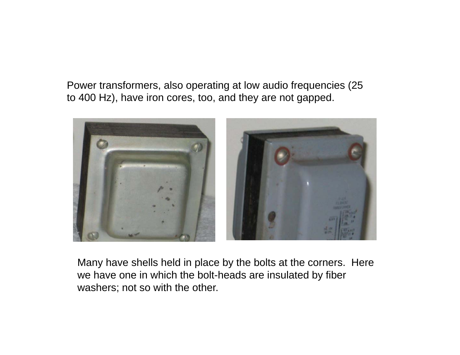Power transformers, also operating at low audio frequencies (25 to 400 Hz), have iron cores, too, and they are not gapped.



Many have shells held in place by the bolts at the corners. Here we have one in which the bolt-heads are insulated by fiber washers; not so with the other.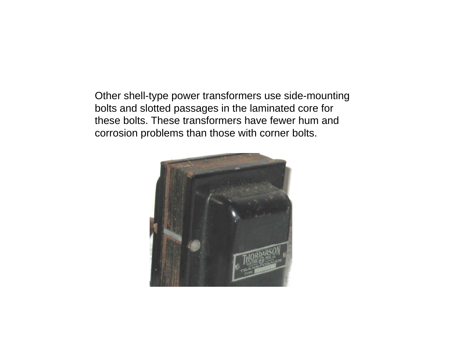Other shell-type power transformers use side-mounting bolts and slotted passages in the laminated core for these bolts. These transformers have fewer hum and corrosion problems than those with corner bolts.

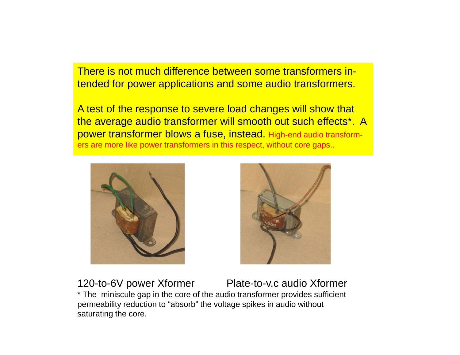There is not much difference between some transformers intended for power applications and some audio transformers.

A test of the response to severe load changes will show that the average audio transformer will smooth out such effects\*. A power transformer blows a fuse, instead. High-end audio transformers are more like power transformers in this respect, without core gaps..





120-to-6V power Xformer Plate-to-v.c audio Xforme Plate-to-y.c audio Xformer \* The miniscule gap in the core of the audio transformer provides sufficient permeability reduction to "absorb" the voltage spikes in audio without saturating the core.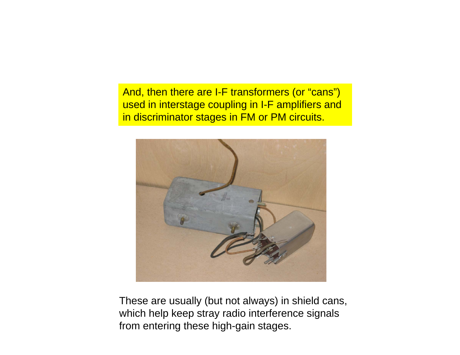And, then there are I-F transformers (or "cans") used in interstage coupling in I-F amplifiers and in discriminator stages in FM or PM circuits.



These are usually (but not always) in shield cans, which help keep stray radio interference signals from entering these high-gain stages.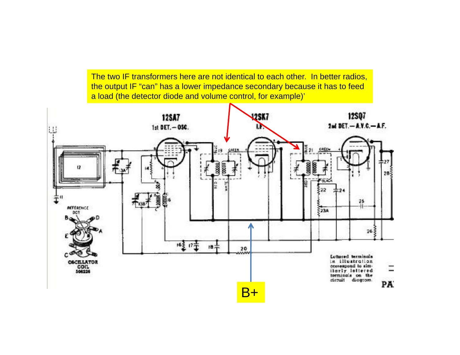The two IF transformers here are not identical to each other. In better radios, the output IF "can" has a lower impedance secondary because it has to feed a load (the detector diode and volume control, for example)'

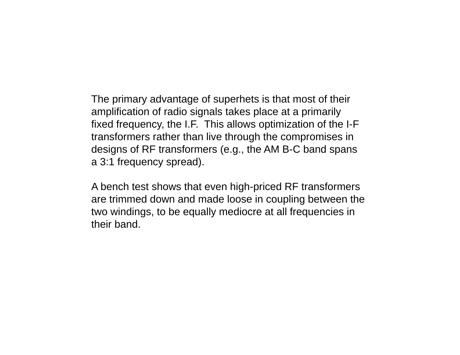The primary advantage of superhets is that most of their amplification of radio signals takes place at a primarily fixed frequency, the I.F. This allows optimization of the I-F transformers rather than live through the compromises in designs of RF transformers (e.g., the AM B-C band spans a 3:1 frequency spread).

A bench test shows that even high-priced RF transformers are trimmed down and made loose in coupling between the two windings, to be equally mediocre at all frequencies in their band.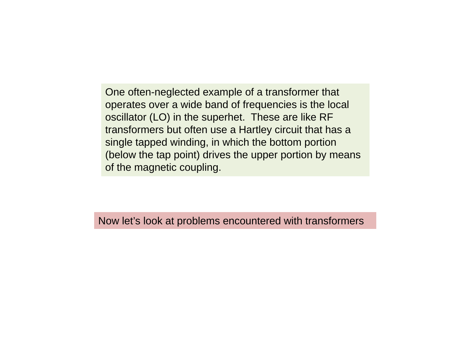One often-neglected example of a transformer that operates over a wide band of frequencies is the local oscillator (LO) in the superhet. These are like RF transformers but often use a Hartley circuit that has a single tapped winding, in which the bottom portion (below the tap point) drives the upper portion by means of the magnetic coupling.

Now let's look at problems encountered with transformers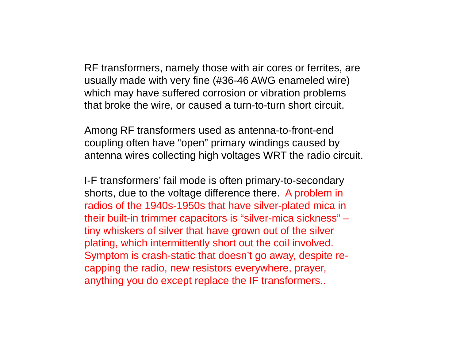RF transformers, namely those with air cores or ferrites, are usually made with very fine (#36-46 AWG enameled wire) which may have suffered corrosion or vibration problems that broke the wire, or caused a turn-to-turn short circuit.

Among RF transformers used as antenna-to-front-end coupling often have "open" primary windings caused by antenna wires collecting high voltages WRT the radio circuit.

I-F transformers' fail mode is often primary-to-secondary shorts, due to the voltage difference there. A problem in radios of the 1940s-1950s that have silver-plated mica in their built-in trimmer capacitors is "silver-mica sickness" – tiny whiskers of silver that have grown out of the silver plating, which intermittently short out the coil involved. Symptom is crash-static that doesn't go away, despite recapping the radio, new resistors everywhere, prayer, anything you do except replace the IF transformers..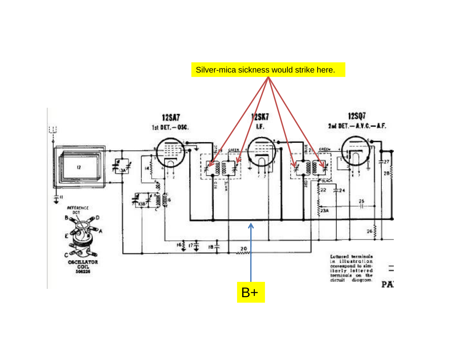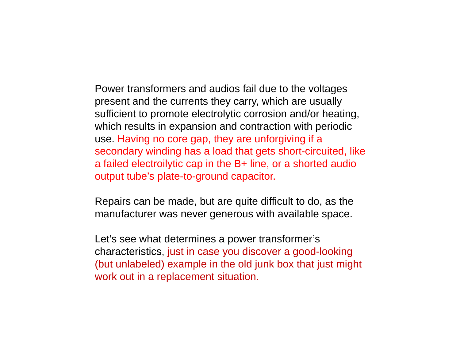Power transformers and audios fail due to the voltages present and the currents they carry, which are usually sufficient to promote electrolytic corrosion and/or heating, which results in expansion and contraction with periodic use. Having no core gap, they are unforgiving if a secondary winding has a load that gets short-circuited, like a failed electroilytic cap in the B+ line, or a shorted audio output tube's plate-to-ground capacitor.

Repairs can be made, but are quite difficult to do, as the manufacturer was never generous with available space.

Let's see what determines a power transformer's characteristics, just in case you discover a good-looking (but unlabeled) example in the old junk box that just might work out in a replacement situation.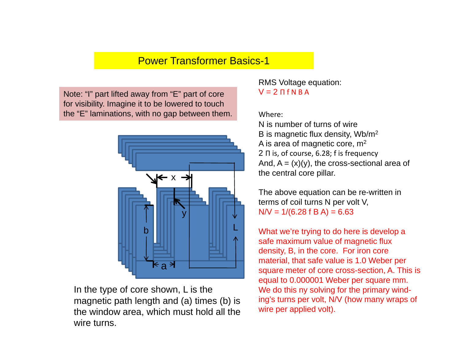### Power Transformer Basics-1

Note: "I" part lifted away from "E" part of core  $V = 2 \Pi f N B A$ for visibility. Imagine it to be lowered to touch the "E" laminations, with no gap between them.



In the type of core shown, L is the working the solving for the primary wind-In the type of core shown,  $L$  is the magnetic path length and (a) times (b) is the window area, which must hold all the wire turns.

RMS Voltage equation:

#### Where:

N is number of turns of wireB is magnetic flux density, Wb/m2 A is area of magnetic core, m2 2 Π is, of course, 6.28; f is frequency And,  $A = (x)(y)$ , the cross-sectional area of the central core pillar.

The above equation can be re-written in terms of coil turns N per volt V,  $N/V = 1/(6.28 f B A) = 6.63$ 

What we're trying to do here is develop a safe maximum value of magnetic flux density, B, in the core. For iron core material, that safe value is 1.0 Weber per square meter of core cross-section, A. This is equal to 0.000001 Weber per square mm. ing's turns per volt, N/V (how many wraps of wire per applied volt).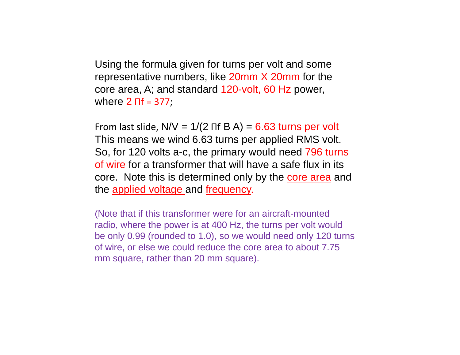Using the formula given for turns per volt and some representative numbers, like 20mm X 20mm for the core area, A; and standard 120-volt, 60 Hz power, where **2** Πf = 377;

From last slide,  ${\sf N}{\sf N}$  = 1/(2  ${\sf n}{\sf f}$  B A) =  $6.63$  turns per volt This means we wind 6.63 turns per applied RMS volt. So, for 120 volts a-c, the primary would need 796 turns of wire for a transformer that will have a safe flux in its core. Note this is determined only by the core area and the applied voltage and frequency.

(Note that if this transformer were for an aircraft-mounted radio, where the power is at 400 Hz, the turns per volt would be only 0.99 (rounded to 1.0), so we would need only 120 turns of wire, or else we could reduce the core area to about 7.75 mm square, rather than 20 mm square).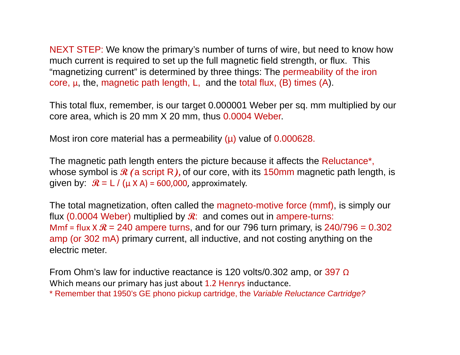NEXT STEP: We know the primary's number of turns of wire, but need to know how much current is required to set up the full magnetic field strength, or flux. This "magnetizing current" is determined by three things: The permeability of the iron core,  $\mu$ , the, magnetic path length, L, and the total flux, (B) times (A).

This total flux, remember, is our target 0.000001 Weber per sq. mm multiplied by our core area, which is 20 mm X 20 mm, thus 0.0004 Weber.

Most iron core material has a permeability  $(\mu)$  value of 0.000628.

The magnetic path length enters the picture because it affects the Reluctance\*, whose symbol is **R (**a script R**),** of our core, with its 150mm magnetic path length, is given by:  $\mathcal{R} = L / (\mu \times A) = 600,000$ , approximately.

The total magnetization, often called the magneto-motive force (mmf), is simply our flux  $(0.0004$  Weber) multiplied by  $\mathcal{R}$ : and comes out in ampere-turns: Mmf = flux X  $\mathcal{R}$  = 240 ampere turns, and for our 796 turn primary, is 240/796 = 0.302 amp (or 302 mA) primary current, all inductive, and not costing anything on the electric meter.

From Ohm's law for inductive reactance is 120 volts/0.302 amp, or 397 <sup>Ω</sup> Which means our primary has just about 1.2 Henrys inductance.

\* Remember that 1950's GE phono pickup cartridge, the *Variable Reluctance Cartridge?*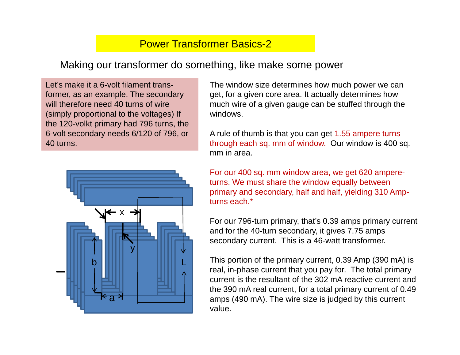## Power Transformer Basics-2

### Making our transformer do something, like make some power

Let's make it a 6-volt filament transformer, as an example. The secondary will therefore need 40 turns of wire (simply proportional to the voltages) If the 120-volkt primary had 796 turns, the 6-volt secondary needs 6/120 of 796, or 40 turns.



The window size determines how much power we can get, for a given core area. It actually determines how much wire of a given gauge can be stuffed through the windows.

A rule of thumb is that you can get 1.55 ampere turns through each sq. mm of window. Our window is 400 sq. mm in area.

For our 400 sq. mm window area, we get 620 ampereturns. We must share the window equally between primary and secondary, half and half, yielding 310 Ampturns each.\*

For our 796-turn primary, that's 0.39 amps primary current and for the 40-turn secondary, it gives 7.75 amps secondary current. This is a 46-watt transformer.

This portion of the primary current, 0.39 Amp (390 mA) is real, in-phase current that you pay for. The total primary current is the resultant of the 302 mA reactive current and the 390 mA real current, for a total primary current of 0.49 amps (490 mA). The wire size is judged by this current value.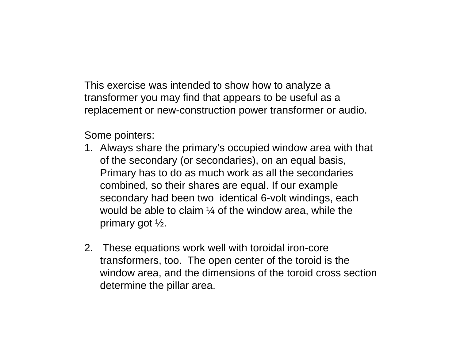This exercise was intended to show how to analyze a transformer you may find that appears to be useful as a replacement or new-construction power transformer or audio.

Some pointers:

- 1. Always share the primary's occupied window area with that of the secondary (or secondaries), on an equal basis, Primary has to do as much work as all the secondaries combined, so their shares are equal. If our example secondary had been two identical 6-volt windings, each would be able to claim  $\frac{1}{4}$  of the window area, while the primary got ½.
- 2. These equations work well with toroidal iron-core transformers, too. The open center of the toroid is the window area, and the dimensions of the toroid cross section determine the pillar area.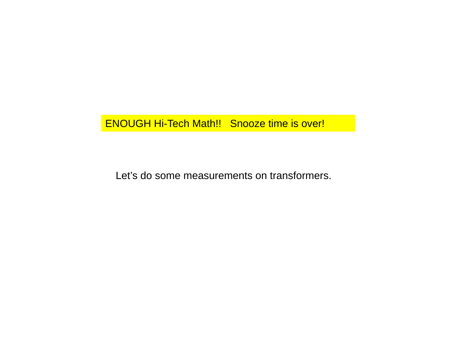## ENOUGH Hi-Tech Math!! Snooze time is over!

Let's do some measurements on transformers.